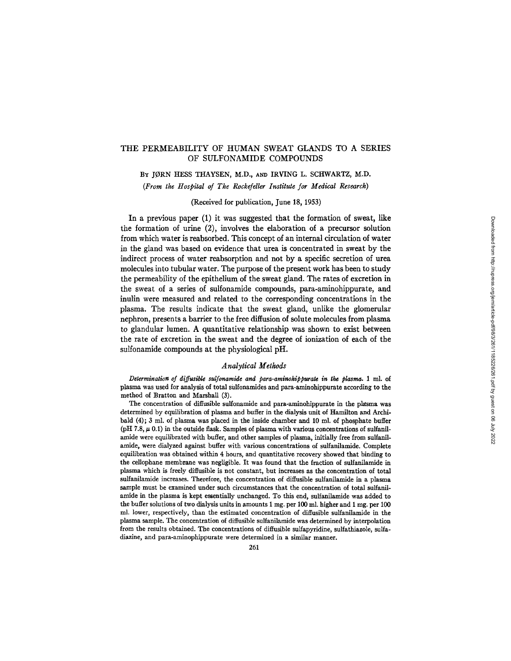# THE PERMEABILITY OF HUMAN SWEAT GLANDS TO A SERIES OF SULFONAMIDE COMPOUNDS

Bx JORN HESS THAYSEN, M.D., AND IRVING L. SCHWARTZ, M.D. *(From the Hospital of The Rockefeller Institute for Medical Research)* 

(Received for publication, June 18, 1953)

In a previous paper (1) it was suggested that the formation of sweat, like the formation of urine (2), involves the elaboration of a precursor solution from which water is reabsorbed. This concept of an internal circulation of water in the gland was based on evidence that urea is concentrated in sweat by the indirect process of water reabsorption and not by a specific secretion of urea molecules into tubular water. The purpose of the present work has been to study the permeability of the epithelium of the sweat gland. The rates of excretion in the sweat of a series of sulfonamide compounds, para-aminohippurate, and inulin were measured and related to the corresponding concentrations in the plasma. The results indicate that the sweat gland, unlike the glomerular nephron, presents a barrier to the free diffusion of solute molecules from plasma to glandular lumen. A quantitative relationship was shown to exist between the rate of excretion in the sweat and the degree of ionization of each of the sulfonamide compounds at the physiological pH.

### *Analytical Methods*

*Determination of diffusible sulfonamide and para-aminokippurate in the plasma.* 1 ml. of plasma was used for analysis of total sulfonamides and para-aminohippurate according to the method of Bratton and Marshall (3).

The concentration of diffusible sulfonamide and para-aminohippurate in the plasma was determined by equilibration of plasma and buffer in the dialysis unit of Hamilton and Archibald (4); 3 ml. of plasma was placed in the inside chamber and 10 ml. of phosphate buffer (pH 7.8,  $\mu$  0.1) in the outside flask. Samples of plasma with various concentrations of sulfanilamide were equilibrated with buffer, and other samples of plasma, initially free from sulfanilamide, were dialyzed against buffer with various concentrations of sulfanilamide. Complete equilibration was obtained within 4 hours, and quantitative recovery showed that binding to the cellophane membrane was negligible. It was found that the fraction of sulfanilamide in plasma which is freely diffusible is not constant, but increases as the concentration of total sulfanilamide increases. Therefore, the concentration of diffusible sulfanilamide in a plasma sample must be examined under such circumstances that the concentration of total sulfanilamide in the plasma is kept essentially unchanged. To this end, sulfanilamide was added to the buffer solutions of two dialysis units in amounts 1 mg. per 100 ml. higher and 1 mg. per 100 ml. lower, respectively, than the estimated concentration of diffusible sulfanilamide in the plasma sample. The concentration of diffusible sulfanilamide was determined by interpolation from the results obtained. The concentrations of diffusible sulfapyridine, sulfathiazole, sulfadiazine, and para-aminophippurate were determined in a similar manner.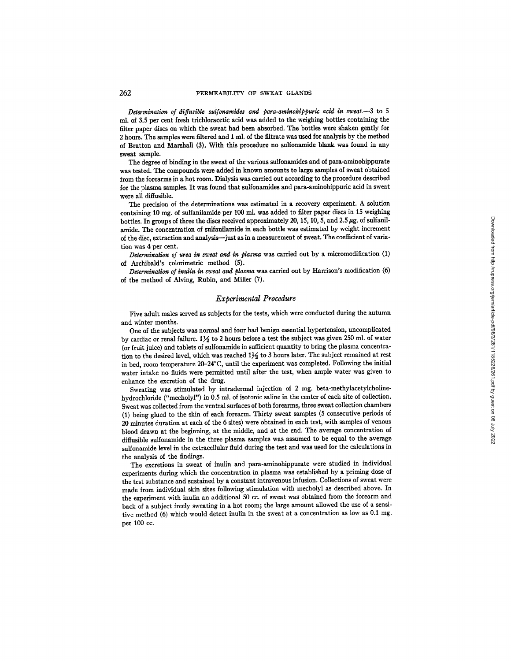*Determination of diffusible sulfonamides and para-aminohippuric acid in sweat.--3* to 5 ml. of 3.5 per cent fresh trichloracetic acid was added to the weighing bottles containing the filter paper discs on which the sweat had been absorbed. The bottles were shaken gently for 2 hours. The samples were filtered and 1 ml. of the filtrate was used for analysis by the method of Bratton and Marshall (3). With this procedure no sulfonamide blank was found in any sweat sample.

The degree of binding in the sweat of the various sulfonamides and of para-aminohippurate was tested. The compounds were added in known amounts to large samples of sweat obtained from the forearms in a hot room. Dialysis was carried out according to the procedure described for the plasma samples. It was found that sulfonamides and para-aminohippuric acid in sweat were all diffusible.

The precision of the determinations was estimated in a recovery experiment. A solution containing 10 mg. of sulfanilamide per 100 ml. was added to filter paper discs in 15 weighing bottles. In groups of three the discs received approximately 20, 15, 10, 5, and 2.5  $\mu$ g. of sulfanilamide. The concentration of sulfanilamide in each bottle was estimated by weight increment of the disc, extraction and analysis--just as in a measurement of sweat. The coefficient of variation was 4 per cent.

*Determination of urea in sweat and in plasma* was carried out by a micromodification (1) of Archibald's colorimetric method (5).

*Determination of inulin in sweat and plasma* was carried out by Harrison's modification (6) of the method of Alving, Rubin, and Miller (7).

### *Experimental Procedure*

Five adult males served as subjects for the tests, which were conducted during the autumn and winter months.

One of the subjects was normal and four had benign essential hypertension, uncomplicated by cardiac or renal failure.  $1\frac{1}{2}$  to 2 hours before a test the subject was given 250 ml. of water (or fruit juice) and tablets of sulfonamide in sufficient quantity to bring the plasma concentration to the desired level, which was reached  $1\frac{1}{2}$  to 3 hours later. The subject remained at rest in bed, room temperature 20-24°C, until the experiment was completed. Following the initial water intake no fluids were permitted until after the test, when ample water was given to enhance the excretion of the drug.

Sweating was stimulated by intradermal injection of 2 mg. beta-methylacetylcholinehydrochloride ("mecholyl") in 0.5 ml. of isotonic saline in the center of each site of collection. Sweat was collected from the ventral surfaces of both forearms, three sweat collection chambers (1) being glued to the skin of each forearm. Thirty sweat samples (5 consecutive periods of 20 minutes duration at each of the 6 sites) were obtained in each test, with samples of venous blood drawn at the beginning, at the middle, and at the end. The average concentration of diffusible sulfonamide in the three plasma samples was assumed to be equal to the average sulfonamide level in the extracellular fluid during the test and was used for the calculations in the analysis of the findings.

The excretions in sweat of inulin and para-aminohippurate were studied in individual experiments during which the concentration in plasma was established by a priming dose of the test substance and sustained by a constant intravenous infusion. Collections of sweat were made from individual skin sites following stimulation with mecholyl as described above. In the experiment with inulin an additional 50 cc. of sweat was obtained from the forearm and back of a subject freely sweating in a hot room; the large amount allowed the use of a sensitive method  $(6)$  which would detect inulin in the sweat at a concentration as low as  $0.1$  mg. per 100 cc.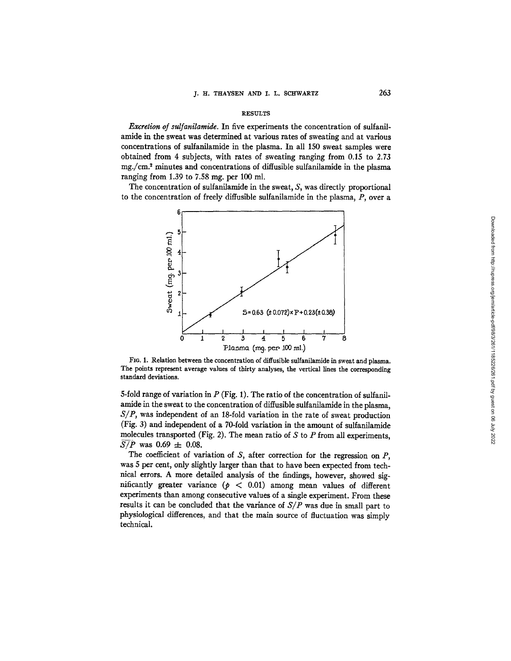#### RESULTS

*Excretion of sulfanilamide*. In five experiments the concentration of sulfanilamide in the sweat was determined at various rates of sweating and at various concentrations of sulfanilamide in the plasma. In all 150 sweat samples were obtained from 4 subjects, with rates of sweating ranging from 0.15 to 2.73  $mg/(cm<sup>2</sup>)$  minutes and concentrations of diffusible sulfanilamide in the plasma ranging from  $1.39$  to  $7.58$  mg, per  $100$  ml.

The concentration of sulfanilamide in the sweat, *S,* was directly proportional to the concentration of freely diffusible sulfanilamide in the plasma, P, over a



FIG. 1. Relation between the concentration of diffusible sulfanilamide in sweat and plasma. The points represent average values of thirty analyses, the vertical lines the corresponding standard deviations.

5-fold range of variation in  $P$  (Fig. 1). The ratio of the concentration of sulfanilamide in the sweat to the concentration of diffusible sulfanilamide in the plasma, *S/P,* was independent of an 18-fold variation in the rate of sweat production (Fig. 3) and independent of a 70-fold variation in the amount of sulfanilamide molecules transported (Fig. 2). The mean ratio of  $S$  to  $P$  from all experiments,  $S/P$  was 0.69  $\pm$  0.08.

The coefficient of variation of  $S$ , after correction for the regression on  $P$ , was 5 per cent, only slightly larger than that to have been expected from technical errors. A more detailed analysis of the findings, however, showed significantly greater variance ( $p < 0.01$ ) among mean values of different experiments than among consecutive values of a single experiment. From these results it can be concluded that the variance of *SIP* was due in small part to physiological differences, and that the main source of fluctuation was simply technical.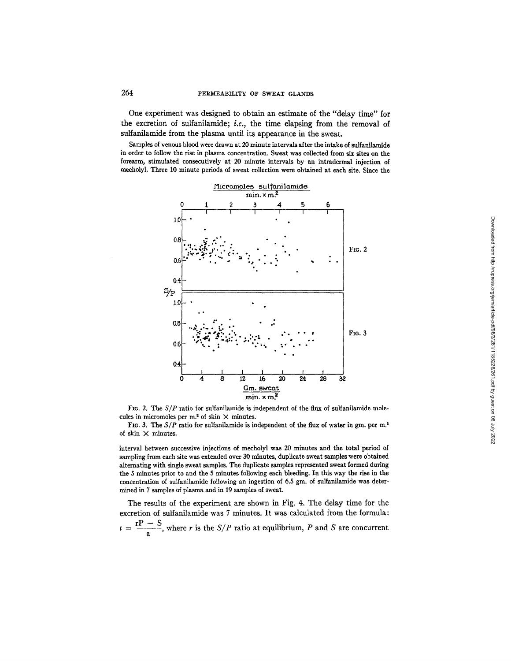One experiment was designed to obtain an estimate of the "delay time" for the excretion of sulfanilamide; *i.e.,* the time elapsing from the removal of sulfanilamide from the plasma until its appearance in the sweat.

Samples of venous blood were drawn at 20 minute intervals after the intake of sulfanilamide in order to follow the rise in plasma concentration. Sweat was collected from six sites on the forearm, stimulated consecutively at 20 minute intervals by an intradermal injection of mecholyl. Three 10 minute periods of sweat collection were obtained at each site. Since the



FIG. 2. The  $S/P$  ratio for sulfanilamide is independent of the flux of sulfanilamide molecules in micromoles per m.<sup>2</sup> of skin  $\times$  minutes.

FIG. 3. The  $S/P$  ratio for sulfanilamide is independent of the flux of water in gm. per m.<sup>2</sup> of skin  $\times$  minutes.

interval between successive injections of mecholyl was 20 minutes and the total period of sampling from each site was extended over 30 minutes, duplicate sweat samples were obtained alternating with single sweat samples. The duplicate samples represented sweat formed during the 5 minutes prior to and the 5 minutes following each bleeding. In this way the rise in the concentration of sulfanilamide following an ingestion of 6.5 gm. of sulfanilamide was determined in 7 samples of plasma and in 19 samples of sweat.

The results of the experiment are shown in Fig. 4. The delay time for the excretion of sulfanilamide was 7 minutes. It was calculated from the formula:  $t = \frac{rP - S}{a}$ , where r is the *S/P* ratio at equilibrium, P and S are concurrent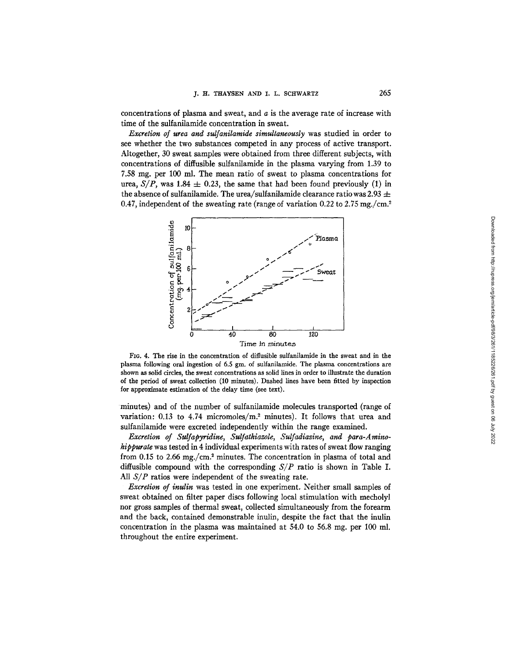concentrations of plasma and sweat, and  $a$  is the average rate of increase with time of the sulfanilamide concentration in sweat.

*Excretion of urea and sulfanilamide simultaneously* was studied in order to see whether the two substances competed in any process of active transport. Altogether, 30 sweat samples were obtained from three different subjects, with concentrations of diffusible sulfanilamide in the plasma varying from 1.39 to 7.58 rag. per 100 ml. The mean ratio of sweat to plasma concentrations for urea,  $S/P$ , was 1.84  $\pm$  0.23, the same that had been found previously (1) in the absence of sulfanilamide. The urea/sulfanilamide clearance ratio was 2.93  $\pm$ 0.47, independent of the sweating rate (range of variation  $0.22$  to  $2.75$  mg./cm.<sup>2</sup>



FIG. 4. The rise in the concentration of diffusible sulfanilamide in the sweat and in the plasma following oral ingestion of 6.5 gm. of sulfanilamide. The plasma concentrations are shown as solid circles, the sweat concentrations as solid lines in order to illustrate the duration of the period of sweat collection (10 minutes). Dashed lines have been fitted by inspection for approximate estimation of the delay time (see text).

minutes) and of the number of sulfanilamide molecules transported (range of variation: 0.13 to 4.74 micromoles/m? minutes). It follows that urea and sulfanilamide were excreted independently within the range examined.

*Excretion of Sulfapyridine, Sulfathiazole, Sulfadiazine, and para-Aminohippurate* was tested in 4 individual experiments with rates of sweat flow ranging from 0.15 to 2.66 mg./cm.<sup>2</sup> minutes. The concentration in plasma of total and diffusible compound with the corresponding *SIP* ratio is shown in Table I. All *S/P* ratios were independent of the sweating rate.

*Excretion of inulin* was tested in one experiment. Neither small samples of sweat obtained on filter paper discs following local stimulation with mecholyl nor gross samples of thermal sweat, collected simultaneously from the forearm and the back, contained demonstrable inulin, despite the fact that the inulin concentration in the plasma was maintained at 54.0 to 56.8 mg. per 100 ml. throughout the entire experiment.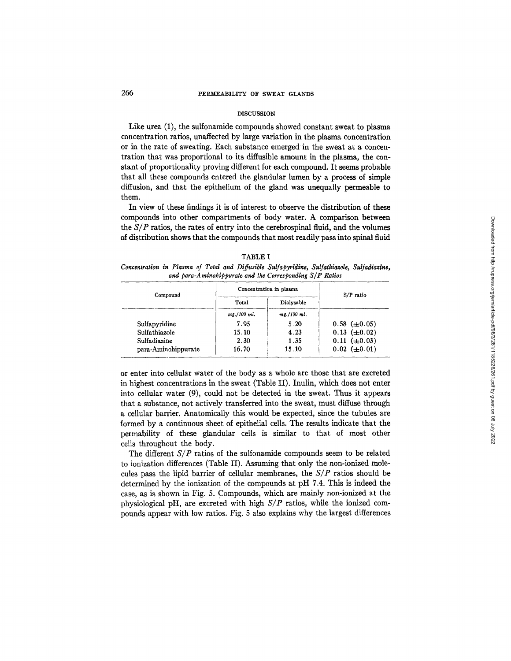# 266 PERMEABILITY OF SWEAT GLANDS

### DISCUSSION

Like urea (1), the sulfonamide compounds showed constant sweat to plasma concentration ratios, unaffected by large variation in the plasma concentration or in the rate of sweating. Each substance emerged in the sweat at a concentration that was proportional to its diffusible amount in the plasma, the constant of proportionality proving different for each compound. It seems probable that all these compounds entered the glandular lumen by a process of simple diffusion, and that the epithelium of the gland was unequally permeable to them.

In view of these findings it is of interest to observe the distribution of these compounds into other compartments of body water. A comparison between *the SIP* ratios, the rates of entry into the cerebrospinal fluid, and the volumes of distribution shows that the compounds that most readily pass into spinal fluid

|                                                            | TABLE I |  |  |  |  |  |  |                                                                                             |  |  |
|------------------------------------------------------------|---------|--|--|--|--|--|--|---------------------------------------------------------------------------------------------|--|--|
|                                                            |         |  |  |  |  |  |  | Concentration in Plasma of Total and Diffusible Sulfapyridine, Sulfathiazole, Sulfadiazine, |  |  |
| and para-Aminohippurate and the Corresponding $S/P$ Ratios |         |  |  |  |  |  |  |                                                                                             |  |  |

| Compound            | Concentration in plasma | S/P ratio   |                     |  |
|---------------------|-------------------------|-------------|---------------------|--|
|                     | Total                   | Dialysable  |                     |  |
|                     | mg./100 ml.             | mg./100 ml. |                     |  |
| Sulfapyridine       | 7.95                    | 5.20        | $0.58 \ (\pm 0.05)$ |  |
| Sulfathiazole       | 15.10                   | 4.23        | $0.13 \ (\pm 0.02)$ |  |
| Sulfadiazine        | 2.30                    | 1.35        | $0.11 \ (\pm 0.03)$ |  |
| para-Aminohippurate | 16.70                   | 15.10       | $0.02 \ (\pm 0.01)$ |  |

or enter into cellular water of the body as a whole are those that are excreted in highest concentrations in the sweat (Table II). Inulin, which does not enter into cellular water (9), could not be detected in the sweat. Thus it appears that a substance, not actively transferred into the sweat, must diffuse through a cellular barrier. Anatomically this would be expected, since the tubules are formed by a continuous sheet of epithelial cells. The results indicate that the permability of these glandular cells is similar to that of most other cells throughout the body.

The different  $S/P$  ratios of the sulfonamide compounds seem to be related to ionization differences (Table II). Assuming that only the non-ionized molecules pass the lipid barrier of cellular membranes, the  $S/P$  ratios should be determined by the ionization of the compounds at pH 7.4. This is indeed the case, as is shown in Fig. 5. Compounds, which are mainly non-ionized at the physiological pH, are excreted with high *SIP* ratios, while the ionized compounds appear with low ratios. Fig. 5 also explains why the largest differences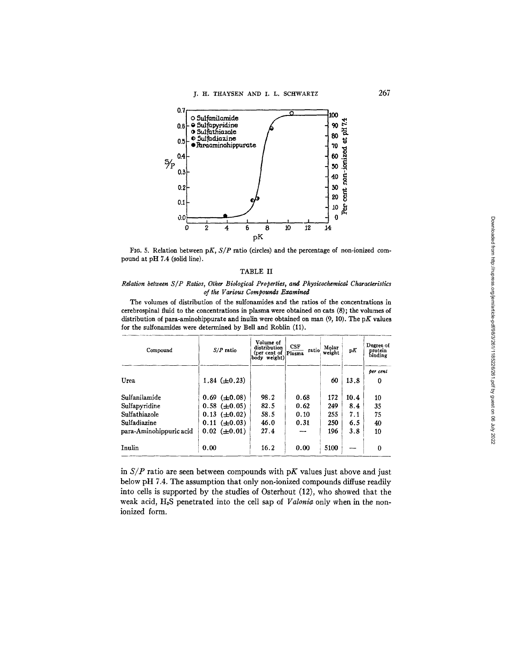

FIG. 5. Relation between *pK*,  $S/P$  ratio (circles) and the percentage of non-ionized compound at pH 7.4 (solid line).

#### TABLE II

### *Rdation between S/P Ratios, Other Biological Properties, and Physicochemical Characteristics of the Various Compounds Examined*

The volumes of distribution of the sulfonamides and the ratios of the concentrations in cerebrospinal fluid to the concentrations in plasma were obtained on cats (8); the volumes of distribution of para-aminohippurate and inulin were obtained on man  $(9, 10)$ . The pK values for the sulfonamides were determined by Bell and Roblin (11).

| Compound                | $S/P$ ratio         | Volume of<br>distribution<br>(per cent of Plasma<br>body weight) | CSF<br>ratio | Molar<br>weight | рK   | Degree of<br>protein<br>binding |
|-------------------------|---------------------|------------------------------------------------------------------|--------------|-----------------|------|---------------------------------|
|                         |                     |                                                                  |              |                 |      | per cent                        |
| Urea                    | 1.84 $(\pm 0.23)$   |                                                                  |              | 60              | 13.8 | 0                               |
| Sulfanilamide           | $0.69 \ (\pm 0.08)$ | 98.2                                                             | 0.68         | 172             | 10.4 | 10                              |
| Sulfapyridine           | $0.58 \ (\pm 0.05)$ | 82.5                                                             | 0.62         | 249             | 8.4  | 35                              |
| Sulfathiazole           | $0.13 \ (\pm 0.02)$ | 58.5                                                             | 0.10         | 255             | 7.1  | 75                              |
| Sulfadiazine            | $0.11 \ (\pm 0.03)$ | 46.0                                                             | 0.31         | 250             | 6.5  | 40                              |
| para-Aminohippuric acid | $0.02 \ (\pm 0.01)$ | 27.4                                                             |              | 196             | 3.8  | 10                              |
| Inulin                  | 0.00                | 16.2                                                             | 0.00         | 5100            |      | $\bf{0}$                        |

in  $S/P$  ratio are seen between compounds with pK values just above and just below pH 7.4. The assumption that only non-ionized compounds diffuse readily into cells is supported by the studies of Osterhout (12), who showed that the weak acid, H2S penetrated into the cell sap of *Valonia* only when in the nonionized form.